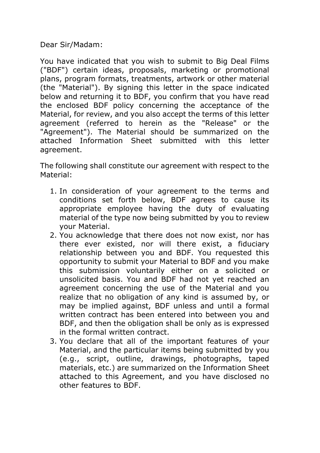Dear Sir/Madam:

You have indicated that you wish to submit to Big Deal Films ("BDF") certain ideas, proposals, marketing or promotional plans, program formats, treatments, artwork or other material (the "Material"). By signing this letter in the space indicated below and returning it to BDF, you confirm that you have read the enclosed BDF policy concerning the acceptance of the Material, for review, and you also accept the terms of this letter agreement (referred to herein as the "Release" or the "Agreement"). The Material should be summarized on the attached Information Sheet submitted with this letter agreement.

The following shall constitute our agreement with respect to the Material:

- 1. In consideration of your agreement to the terms and conditions set forth below, BDF agrees to cause its appropriate employee having the duty of evaluating material of the type now being submitted by you to review your Material.
- 2. You acknowledge that there does not now exist, nor has there ever existed, nor will there exist, a fiduciary relationship between you and BDF. You requested this opportunity to submit your Material to BDF and you make this submission voluntarily either on a solicited or unsolicited basis. You and BDF had not yet reached an agreement concerning the use of the Material and you realize that no obligation of any kind is assumed by, or may be implied against, BDF unless and until a formal written contract has been entered into between you and BDF, and then the obligation shall be only as is expressed in the formal written contract.
- 3. You declare that all of the important features of your Material, and the particular items being submitted by you (e.g., script, outline, drawings, photographs, taped materials, etc.) are summarized on the Information Sheet attached to this Agreement, and you have disclosed no other features to BDF.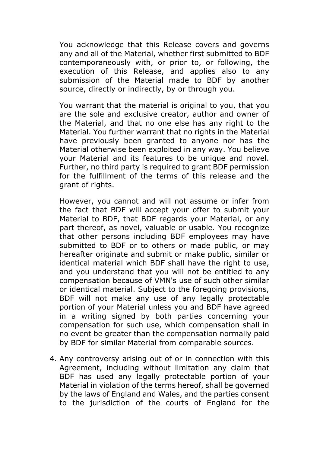You acknowledge that this Release covers and governs any and all of the Material, whether first submitted to BDF contemporaneously with, or prior to, or following, the execution of this Release, and applies also to any submission of the Material made to BDF by another source, directly or indirectly, by or through you.

You warrant that the material is original to you, that you are the sole and exclusive creator, author and owner of the Material, and that no one else has any right to the Material. You further warrant that no rights in the Material have previously been granted to anyone nor has the Material otherwise been exploited in any way. You believe your Material and its features to be unique and novel. Further, no third party is required to grant BDF permission for the fulfillment of the terms of this release and the grant of rights.

However, you cannot and will not assume or infer from the fact that BDF will accept your offer to submit your Material to BDF, that BDF regards your Material, or any part thereof, as novel, valuable or usable. You recognize that other persons including BDF employees may have submitted to BDF or to others or made public, or may hereafter originate and submit or make public, similar or identical material which BDF shall have the right to use, and you understand that you will not be entitled to any compensation because of VMN's use of such other similar or identical material. Subject to the foregoing provisions, BDF will not make any use of any legally protectable portion of your Material unless you and BDF have agreed in a writing signed by both parties concerning your compensation for such use, which compensation shall in no event be greater than the compensation normally paid by BDF for similar Material from comparable sources.

4. Any controversy arising out of or in connection with this Agreement, including without limitation any claim that BDF has used any legally protectable portion of your Material in violation of the terms hereof, shall be governed by the laws of England and Wales, and the parties consent to the jurisdiction of the courts of England for the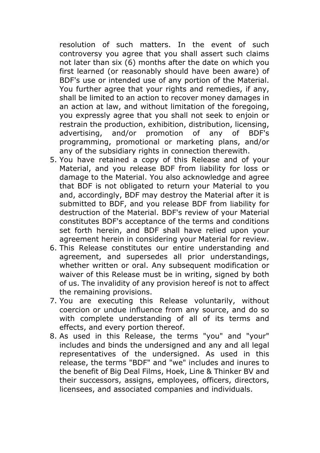resolution of such matters. In the event of such controversy you agree that you shall assert such claims not later than six (6) months after the date on which you first learned (or reasonably should have been aware) of BDF's use or intended use of any portion of the Material. You further agree that your rights and remedies, if any, shall be limited to an action to recover money damages in an action at law, and without limitation of the foregoing, you expressly agree that you shall not seek to enjoin or restrain the production, exhibition, distribution, licensing, advertising, and/or promotion of any of BDF's programming, promotional or marketing plans, and/or any of the subsidiary rights in connection therewith.

- 5. You have retained a copy of this Release and of your Material, and you release BDF from liability for loss or damage to the Material. You also acknowledge and agree that BDF is not obligated to return your Material to you and, accordingly, BDF may destroy the Material after it is submitted to BDF, and you release BDF from liability for destruction of the Material. BDF's review of your Material constitutes BDF's acceptance of the terms and conditions set forth herein, and BDF shall have relied upon your agreement herein in considering your Material for review.
- 6. This Release constitutes our entire understanding and agreement, and supersedes all prior understandings, whether written or oral. Any subsequent modification or waiver of this Release must be in writing, signed by both of us. The invalidity of any provision hereof is not to affect the remaining provisions.
- 7. You are executing this Release voluntarily, without coercion or undue influence from any source, and do so with complete understanding of all of its terms and effects, and every portion thereof.
- 8. As used in this Release, the terms "you" and "your" includes and binds the undersigned and any and all legal representatives of the undersigned. As used in this release, the terms "BDF" and "we" includes and inures to the benefit of Big Deal Films, Hoek, Line & Thinker BV and their successors, assigns, employees, officers, directors, licensees, and associated companies and individuals.